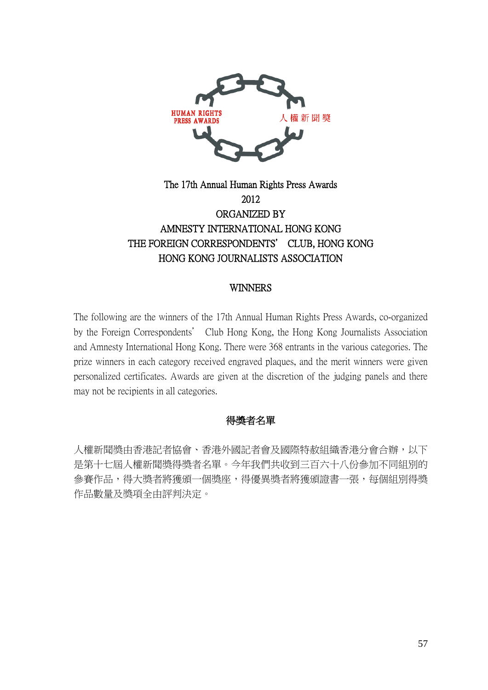

# The 17th Annual Human Rights Press Awards 2012 ORGANIZED BY AMNESTY INTERNATIONAL HONG KONG THE FOREIGN CORRESPONDENTS' CLUB, HONG KONG HONG KONG JOURNALISTS ASSOCIATION

# WINNERS

The following are the winners of the 17th Annual Human Rights Press Awards, co-organized by the Foreign Correspondents' Club Hong Kong, the Hong Kong Journalists Association and Amnesty International Hong Kong. There were 368 entrants in the various categories. The prize winners in each category received engraved plaques, and the merit winners were given personalized certificates. Awards are given at the discretion of the judging panels and there may not be recipients in all categories.

# 得獎者名單

人權新聞獎由香港記者協會、香港外國記者會及國際特赦組織香港分會合辦,以下 是第十七屆人權新聞獎得獎者名單。今年我們共收到三百六十八份參加不同組別的 參賽作品,得大獎者將獲座,得獎座,得優異獎者將獲頒證書一張,每個組別得獎 作品數量及獎項全由評判決定。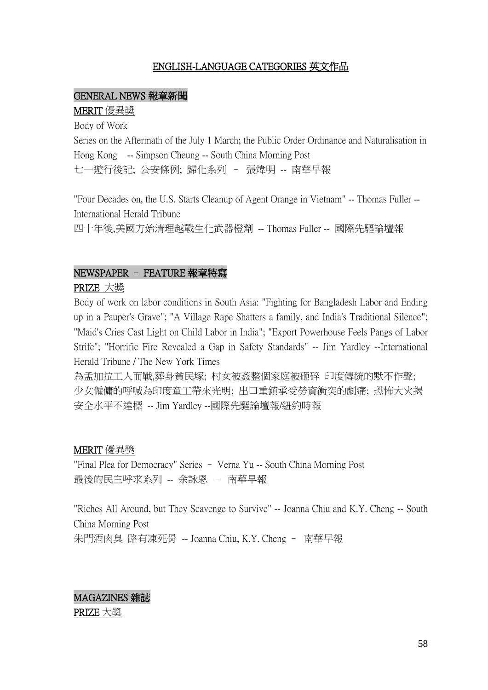# ENGLISH-LANGUAGE CATEGORIES 英文作品

### GENERAL NEWS 報章新聞

#### MERIT 優異獎

Body of Work

Series on the Aftermath of the July 1 March; the Public Order Ordinance and Naturalisation in Hong Kong -- Simpson Cheung -- South China Morning Post 七一遊行後記; 公安條例; 歸化系列 – 張煒明 -- 南華早報

"Four Decades on, the U.S. Starts Cleanup of Agent Orange in Vietnam" -- Thomas Fuller -- International Herald Tribune

四十年後,美國方始清理越戰生化武器橙劑 -- Thomas Fuller -- 國際先驅論壇報

# NEWSPAPER – FEATURE 報章特寫

PRIZE 大獎

Body of work on labor conditions in South Asia: "Fighting for Bangladesh Labor and Ending up in a Pauper's Grave"; "A Village Rape Shatters a family, and India's Traditional Silence"; "Maid's Cries Cast Light on Child Labor in India"; "Export Powerhouse Feels Pangs of Labor Strife"; "Horrific Fire Revealed a Gap in Safety Standards" -- Jim Yardley --International Herald Tribune / The New York Times

為孟加拉工人而戰,葬身貧民塚; 村女被姦整個家庭被砸碎 印度傳統的默不作聲; 少女僱傭的呼喊為印度童工帶來光明; 出口重鎮承受勞資衝突的劇痛; 恐怖大火揭 安全水平不達標 -- Jim Yardley --國際先驅論壇報/紐約時報

### MERIT 優異獎

"Final Plea for Democracy" Series – Verna Yu -- South China Morning Post 最後的民主呼求系列 -- 余詠恩 – 南華早報

"Riches All Around, but They Scavenge to Survive" -- Joanna Chiu and K.Y. Cheng -- South China Morning Post 朱門酒肉臭 路有凍死骨 -- Joanna Chiu, K.Y. Cheng – 南華早報

MAGAZINES 雜誌 PRIZE 大獎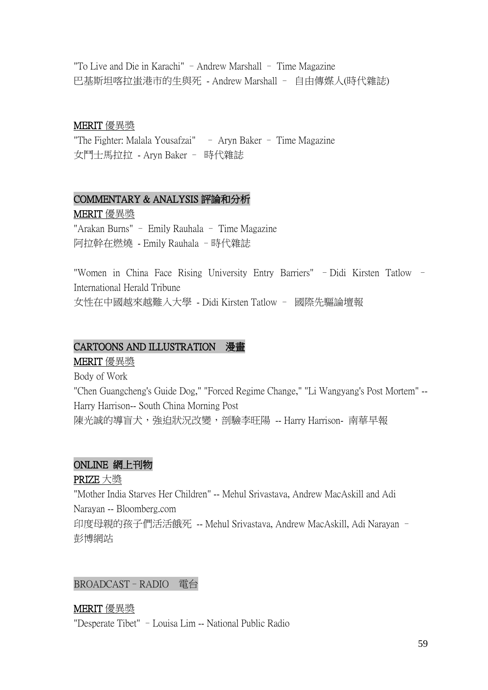"To Live and Die in Karachi" – Andrew Marshall – Time Magazine 巴基斯坦喀拉蚩港市的生與死 - Andrew Marshall – 自由傳媒人(時代雜誌)

# MERIT 優異獎

"The Fighter: Malala Yousafzai" – Aryn Baker – Time Magazine 女鬥士馬拉拉 - Aryn Baker – 時代雜誌

# COMMENTARY & ANALYSIS 評論和分析

# MERIT 優異獎

"Arakan Burns" – Emily Rauhala – Time Magazine 阿拉幹在燃燒 - Emily Rauhala –時代雜誌

"Women in China Face Rising University Entry Barriers" –Didi Kirsten Tatlow – International Herald Tribune 女性在中國越來越難入大學 - Didi Kirsten Tatlow – 國際先驅論壇報

# CARTOONS AND ILLUSTRATION 漫畫

MERIT 優異獎

Body of Work

"Chen Guangcheng's Guide Dog," "Forced Regime Change," "Li Wangyang's Post Mortem" -- Harry Harrison-- South China Morning Post 陳光誠的導盲犬,強迫狀況改變,剖驗李旺陽 -- Harry Harrison- 南華早報

# ONLINE 網上刊物

PRIZE 大獎

"Mother India Starves Her Children" -- Mehul Srivastava, Andrew MacAskill and Adi Narayan -- Bloomberg.com 印度母親的孩子們活活餓死 -- Mehul Srivastava, Andrew MacAskill, Adi Narayan – 彭博網站

# BROADCAST–RADIO 電台

# MERIT 優異獎

"Desperate Tibet" –Louisa Lim -- National Public Radio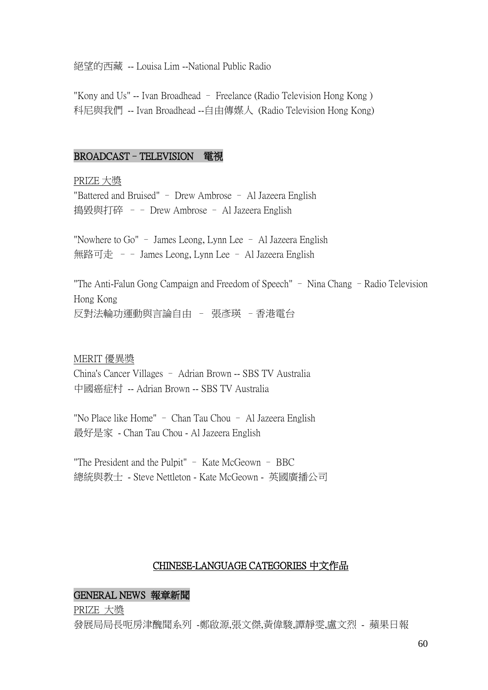絕望的西藏 -- Louisa Lim --National Public Radio

"Kony and Us" -- Ivan Broadhead – Freelance (Radio Television Hong Kong ) 科尼與我們 -- Ivan Broadhead --自由傳媒人 (Radio Television Hong Kong)

#### BROADCAST–TELEVISION 電視

PRIZE 大獎 "Battered and Bruised" – Drew Ambrose – Al Jazeera English 搗毀與打碎 –– Drew Ambrose – Al Jazeera English

"Nowhere to Go" – James Leong, Lynn Lee – Al Jazeera English 無路可走 – – James Leong, Lynn Lee – Al Jazeera English

"The Anti-Falun Gong Campaign and Freedom of Speech" – Nina Chang –Radio Television Hong Kong 反對法輪功運動與言論自由 – 張彥瑛 –香港電台

#### MERIT 優異獎

China's Cancer Villages – Adrian Brown -- SBS TV Australia 中國癌症村 -- Adrian Brown -- SBS TV Australia

"No Place like Home" – Chan Tau Chou – Al Jazeera English 最好是家 - Chan Tau Chou - Al Jazeera English

"The President and the Pulpit" – Kate McGeown – BBC 總統與教士 - Steve Nettleton - Kate McGeown - 英國廣播公司

### CHINESE-LANGUAGE CATEGORIES 中文作品

#### GENERAL NEWS 報章新聞

PRIZE 大獎

發展局局長呃房津醜聞系列 -鄭啟源,張文傑,黃偉駿,譚靜雯,盧文烈 - 蘋果日報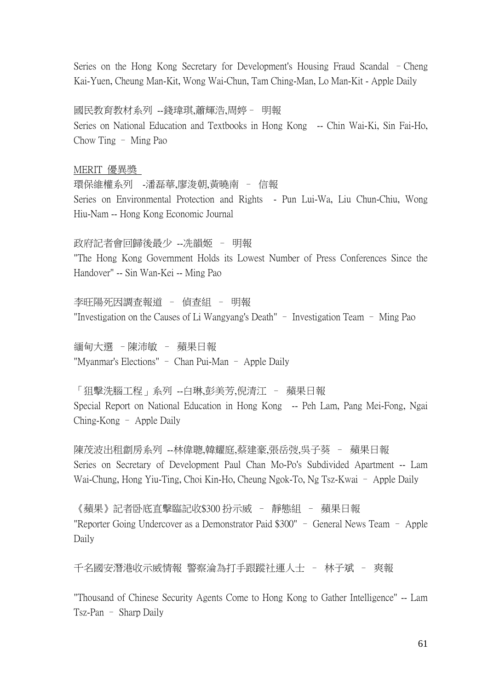Series on the Hong Kong Secretary for Development's Housing Fraud Scandal –Cheng Kai-Yuen, Cheung Man-Kit, Wong Wai-Chun, Tam Ching-Man, Lo Man-Kit - Apple Daily

# 國民教育教材系列 --錢瑋琪,蕭輝浩,周婷– 明報

Series on National Education and Textbooks in Hong Kong -- Chin Wai-Ki, Sin Fai-Ho, Chow Ting – Ming Pao

# MERIT 優異獎

環保維權系列 -潘磊華,廖浚朝,黃曉南 – 信報 Series on Environmental Protection and Rights - Pun Lui-Wa, Liu Chun-Chiu, Wong Hiu-Nam -- Hong Kong Economic Journal

政府記者會回歸後最少 --冼韻姬 – 明報 "The Hong Kong Government Holds its Lowest Number of Press Conferences Since the Handover" -- Sin Wan-Kei -- Ming Pao

李旺陽死因調查報道 – 偵查組 – 明報 "Investigation on the Causes of Li Wangyang's Death" – Investigation Team – Ming Pao

緬甸大選 –陳沛敏 – 蘋果日報 "Myanmar's Elections" – Chan Pui-Man – Apple Daily

「狙擊洗腦工程」系列 --白琳,彭美芳,倪清江 – 蘋果日報 Special Report on National Education in Hong Kong -- Peh Lam, Pang Mei-Fong, Ngai Ching-Kong – Apple Daily

陳茂波出租劏房系列 --林偉聰,韓耀庭,蔡建豪,張岳弢,吳子葵 – 蘋果日報 Series on Secretary of Development Paul Chan Mo-Po's Subdivided Apartment -- Lam Wai-Chung, Hong Yiu-Ting, Choi Kin-Ho, Cheung Ngok-To, Ng Tsz-Kwai – Apple Daily

《蘋果》記者卧底直擊臨記收\$300 扮示威 – 靜態組 – 蘋果日報 "Reporter Going Undercover as a Demonstrator Paid \$300" – General News Team – Apple Daily

千名國安潛港收示威情報 警察淪為打手跟蹤社運人士 – 林子斌 – 爽報

"Thousand of Chinese Security Agents Come to Hong Kong to Gather Intelligence" -- Lam Tsz-Pan – Sharp Daily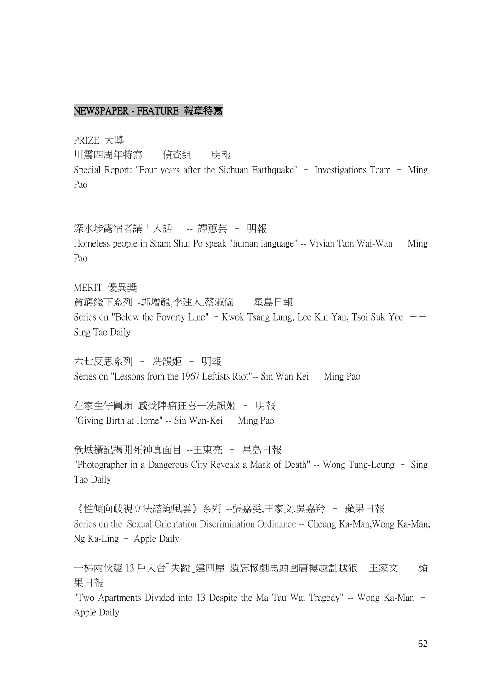# NEWSPAPER - FEATURE 報章特寫

PRIZE 大獎

川震四周年特寫 – 偵查組 – 明報 Special Report: "Four years after the Sichuan Earthquake" – Investigations Team – Ming Pao

深水埗露宿者講「人話」 -- 譚蕙芸 – 明報 Homeless people in Sham Shui Po speak "human language" -- Vivian Tam Wai-Wan – Ming Pao

### MERIT 優異獎

貧窮綫下系列 -郭增龍,李建人,蔡淑儀 – 星島日報 Series on "Below the Poverty Line" – Kwok Tsang Lung, Lee Kin Yan, Tsoi Suk Yee  $-$ Sing Tao Daily

六七反思系列 – 冼韻姬 – 明報 Series on "Lessons from the 1967 Leftists Riot"-- Sin Wan Kei – Ming Pao

在家生仔圓願 感受陣痛狂喜—冼韻姬 – 明報 "Giving Birth at Home" -- Sin Wan-Kei – Ming Pao

危城攝記揭開死神真面目 --王東亮 – 星島日報 "Photographer in a Dangerous City Reveals a Mask of Death" -- Wong Tung-Leung – Sing Tao Daily

《性傾向歧視立法諮詢風雲》系列 --張嘉雯,王家文,吳嘉羚 – 蘋果日報 Series on the Sexual Orientation Discrimination Ordinance -- Cheung Ka-Man, Wong Ka-Man, Ng Ka-Ling – Apple Daily

一梯兩伙變 13 戶天台「失蹤」建四屋 遺忘慘劇馬頭圍唐樓越劏越狼 --王家文 – 蘋 果日報

"Two Apartments Divided into 13 Despite the Ma Tau Wai Tragedy" -- Wong Ka-Man – Apple Daily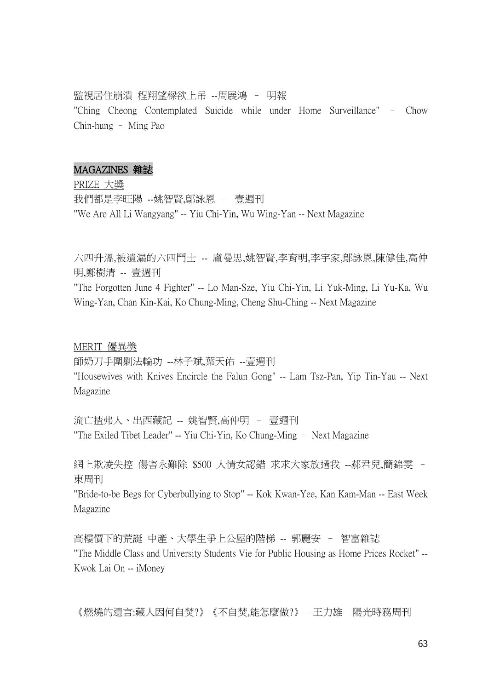#### 監視居住崩潰 程翔望樑欲上吊 --周展鴻 – 明報

"Ching Cheong Contemplated Suicide while under Home Surveillance" – Chow Chin-hung – Ming Pao

#### MAGAZINES 雜誌

PRIZE 大獎 我們都是李旺陽 --姚智賢,鄔詠恩 – 壹週刊 "We Are All Li Wangyang" -- Yiu Chi-Yin, Wu Wing-Yan -- Next Magazine

六四升溫,被遺漏的六四鬥士 -- 盧曼思,姚智賢,李育明,李宇家,鄔詠恩,陳健佳,高仲 明,鄭樹清 -- 壹週刊 "The Forgotten June 4 Fighter" -- Lo Man-Sze, Yiu Chi-Yin, Li Yuk-Ming, Li Yu-Ka, Wu Wing-Yan, Chan Kin-Kai, Ko Chung-Ming, Cheng Shu-Ching -- Next Magazine

#### MERIT 優異獎

師奶刀手圍剿法輪功 --林子斌,葉天佑 --壹週刊 "Housewives with Knives Encircle the Falun Gong" -- Lam Tsz-Pan, Yip Tin-Yau -- Next Magazine

流亡揸弗人、出西藏記 -- 姚智賢,高仲明 – 壹週刊 "The Exiled Tibet Leader" -- Yiu Chi-Yin, Ko Chung-Ming – Next Magazine

網上欺凌失控 傷害永難除 \$500 人情女認錯 求求大家放過我 --郝君兒,簡錦雯 – 東周刊

"Bride-to-be Begs for Cyberbullying to Stop" -- Kok Kwan-Yee, Kan Kam-Man -- East Week Magazine

高樓價下的荒誕 中產、大學生爭上公屋的階梯 -- 郭麗安 – 智富雜誌 "The Middle Class and University Students Vie for Public Housing as Home Prices Rocket" -- Kwok Lai On -- iMoney

《燃燒的遺言:藏人因何自焚?》《不自焚,能怎麼做?》—王力雄—陽光時務周刊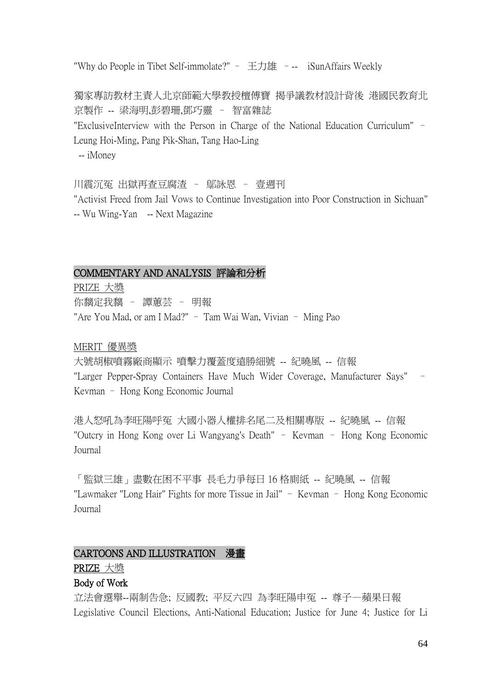"Why do People in Tibet Self-immolate?" - 王力雄 --- iSunAffairs Weekly

獨家專訪教材主責人北京師範大學教授檀傅寶 揭爭議教材設計背後 港國民教育北 京製作 -- 梁海明,彭碧珊,鄧巧靈 – 智富雜誌 "ExclusiveInterview with the Person in Charge of the National Education Curriculum" – Leung Hoi-Ming, Pang Pik-Shan, Tang Hao-Ling -- iMoney

川震沉冤 出獄再查豆腐渣 – 鄔詠恩 – 壹週刊

"Activist Freed from Jail Vows to Continue Investigation into Poor Construction in Sichuan" -- Wu Wing-Yan -- Next Magazine

# COMMENTARY AND ANALYSIS 評論和分析

PRIZE 大獎 你黐定我黐 – 譚蕙芸 – 明報 "Are You Mad, or am I Mad?" – Tam Wai Wan, Vivian – Ming Pao

MERIT 優異獎

大號胡椒噴霧廠商顯示 噴擊力覆蓋度遠勝細號 -- 紀曉風 -- 信報 "Larger Pepper-Spray Containers Have Much Wider Coverage, Manufacturer Says" – Kevman – Hong Kong Economic Journal

港人怒吼為李旺陽呼冤 大國小器人權排名尾二及相關專版 -- 紀曉風 -- 信報 "Outcry in Hong Kong over Li Wangyang's Death" – Kevman – Hong Kong Economic Journal

「監獄三雄」盡數在困不平事 長毛力爭每日 16 格廁紙 -- 紀曉風 -- 信報 "Lawmaker "Long Hair" Fights for more Tissue in Jail" – Kevman – Hong Kong Economic Journal

# CARTOONS AND ILLUSTRATION 漫畫

# PRIZE 大獎

# Body of Work

立法會選舉--兩制告急; 反國教; 平反六四 為李旺陽申冤 -- 尊子—蘋果日報 Legislative Council Elections, Anti-National Education; Justice for June 4; Justice for Li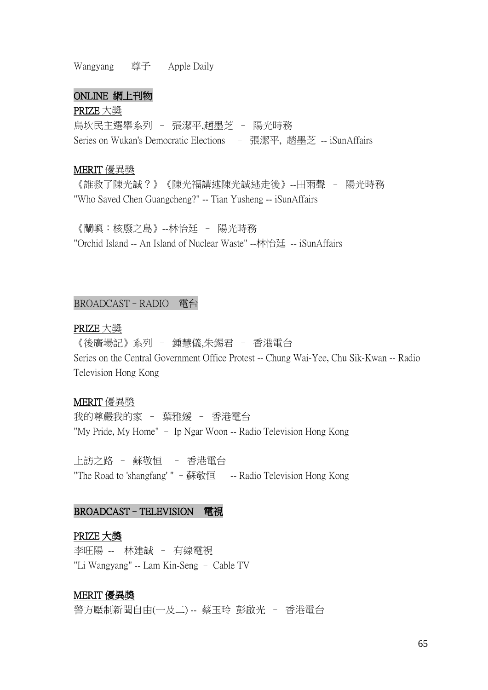Wangyang - 尊子 - Apple Daily

# ONLINE 網上刊物

#### PRIZE 大獎

烏坎民主選舉系列 – 張潔平,趙墨芝 – 陽光時務 Series on Wukan's Democratic Elections – 張潔平, 趙墨芝 -- iSunAffairs

#### MERIT 優異獎

《誰救了陳光誠?》《陳光福講述陳光誠逃走後》--田雨聲 – 陽光時務 "Who Saved Chen Guangcheng?" -- Tian Yusheng -- iSunAffairs

《蘭嶼:核廢之島》--林怡廷 – 陽光時務 "Orchid Island -- An Island of Nuclear Waste" --林怡廷 -- iSunAffairs

#### BROADCAST–RADIO 電台

# PRIZE 大獎

《後廣場記》系列 – 鍾慧儀,朱錫君 – 香港電台 Series on the Central Government Office Protest -- Chung Wai-Yee, Chu Sik-Kwan -- Radio Television Hong Kong

#### MERIT 優異獎

我的尊嚴我的家 – 葉雅媛 – 香港電台 "My Pride, My Home" – Ip Ngar Woon -- Radio Television Hong Kong

上訪之路 – 蘇敬恒 – 香港電台 "The Road to 'shangfang' " –蘇敬恒 -- Radio Television Hong Kong

### BROADCAST–TELEVISION 電視

### PRIZE 大獎

李旺陽 -- 林建誠 – 有線電視 "Li Wangyang" -- Lam Kin-Seng – Cable TV

#### MERIT 優異獎

警方壓制新聞自由(一及二) -- 蔡玉玲 彭啟光 – 香港電台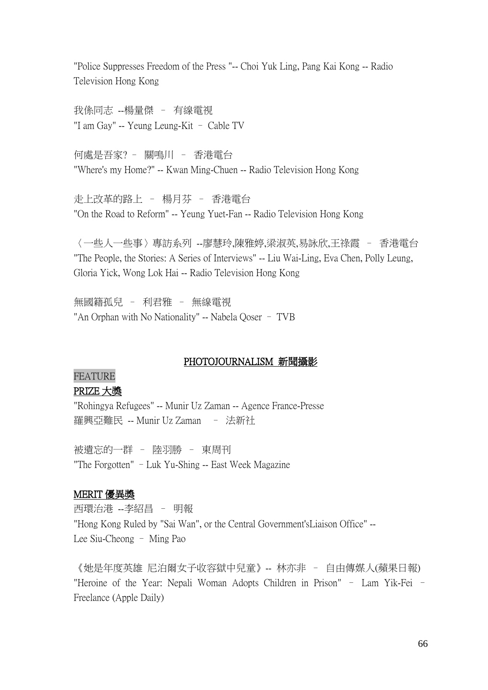"Police Suppresses Freedom of the Press "-- Choi Yuk Ling, Pang Kai Kong -- Radio Television Hong Kong

我係同志 --楊量傑 – 有線電視 "I am Gay" -- Yeung Leung-Kit – Cable TV

何處是吾家? – 關鳴川 – 香港電台 "Where's my Home?" -- Kwan Ming-Chuen -- Radio Television Hong Kong

走上改革的路上 – 楊月芬 – 香港電台 "On the Road to Reform" -- Yeung Yuet-Fan -- Radio Television Hong Kong

〈一些人一些事〉專訪系列 --廖慧玲,陳雅婷,梁淑英,易詠欣,王祿霞 – 香港電台 "The People, the Stories: A Series of Interviews" -- Liu Wai-Ling, Eva Chen, Polly Leung, Gloria Yick, Wong Lok Hai -- Radio Television Hong Kong

無國籍孤兒 – 利君雅 – 無線電視 "An Orphan with No Nationality" -- Nabela Qoser – TVB

### PHOTOJOURNALISM 新聞攝影

# FEATURE PRIZE 大獎

"Rohingya Refugees" -- Munir Uz Zaman -- Agence France-Presse 羅興亞難民 -- Munir Uz Zaman – 法新社

被遺忘的一群 – 陸羽勝 – 東周刊 "The Forgotten" –Luk Yu-Shing -- East Week Magazine

### MERIT 優異獎

西環治港 --李紹昌 – 明報 "Hong Kong Ruled by "Sai Wan", or the Central Government'sLiaison Office" -- Lee Siu-Cheong – Ming Pao

《她是年度英雄 尼泊爾女子收容獄中兒童》-- 林亦非 – 自由傳媒人(蘋果日報) "Heroine of the Year: Nepali Woman Adopts Children in Prison" – Lam Yik-Fei – Freelance (Apple Daily)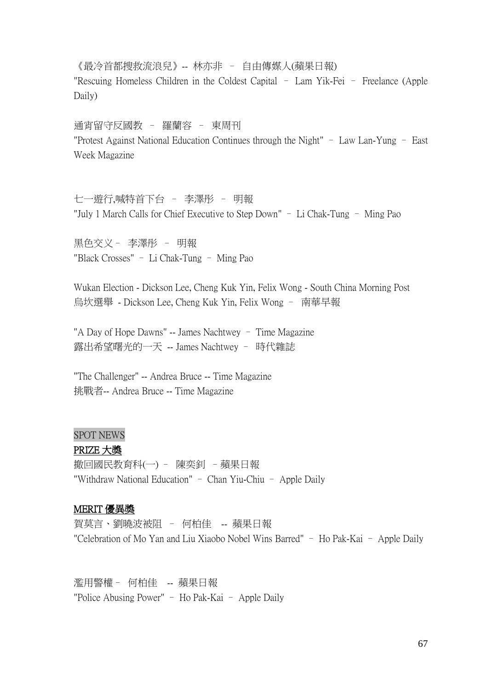《最冷首都搜救流浪兒》-- 林亦非 – 自由傳媒人(蘋果日報) "Rescuing Homeless Children in the Coldest Capital – Lam Yik-Fei – Freelance (Apple Daily)

通宵留守反國教 – 羅蘭容 – 東周刊 "Protest Against National Education Continues through the Night" – Law Lan-Yung – East Week Magazine

七一遊行,喊特首下台 – 李澤彤 – 明報 "July 1 March Calls for Chief Executive to Step Down" – Li Chak-Tung – Ming Pao

黑色交义– 李澤彤 – 明報 "Black Crosses" – Li Chak-Tung – Ming Pao

Wukan Election - Dickson Lee, Cheng Kuk Yin, Felix Wong - South China Morning Post 烏坎選舉 - Dickson Lee, Cheng Kuk Yin, Felix Wong – 南華早報

"A Day of Hope Dawns" -- James Nachtwey – Time Magazine 露出希望曙光的一天 -- James Nachtwey – 時代雜誌

"The Challenger" -- Andrea Bruce -- Time Magazine 挑戰者-- Andrea Bruce -- Time Magazine

### SPOT NEWS

### PRIZE 大獎

撤回國民教育科(一) – 陳奕釗 –蘋果日報 "Withdraw National Education" – Chan Yiu-Chiu – Apple Daily

### MERIT 優異獎

賀莫言、劉曉波被阻 – 何柏佳 -- 蘋果日報 "Celebration of Mo Yan and Liu Xiaobo Nobel Wins Barred" – Ho Pak-Kai – Apple Daily

濫用警權– 何柏佳 -- 蘋果日報 "Police Abusing Power" – Ho Pak-Kai – Apple Daily